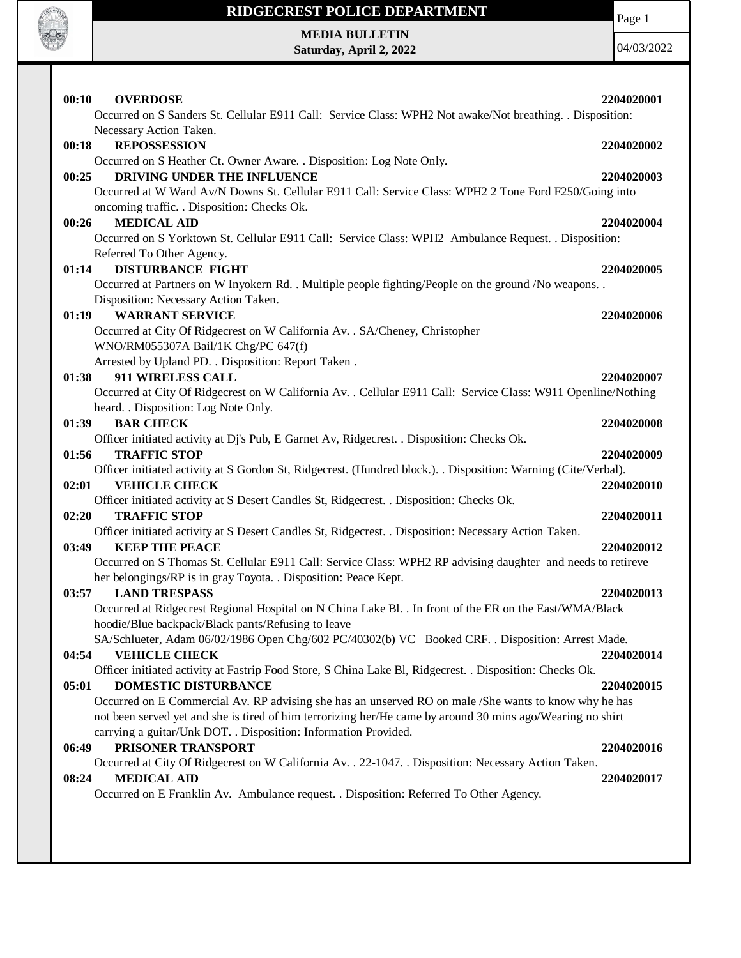

# **RIDGECREST POLICE DEPARTMENT**

Page 1

**MEDIA BULLETIN Saturday, April 2, 2022**

04/03/2022

| Occurred on S Sanders St. Cellular E911 Call: Service Class: WPH2 Not awake/Not breathing. . Disposition:                                                                                                                                                                                                                                    |  |
|----------------------------------------------------------------------------------------------------------------------------------------------------------------------------------------------------------------------------------------------------------------------------------------------------------------------------------------------|--|
| Necessary Action Taken.<br>00:18<br><b>REPOSSESSION</b><br>2204020002<br>Occurred on S Heather Ct. Owner Aware. . Disposition: Log Note Only.                                                                                                                                                                                                |  |
| DRIVING UNDER THE INFLUENCE<br>00:25<br>2204020003<br>Occurred at W Ward Av/N Downs St. Cellular E911 Call: Service Class: WPH2 2 Tone Ford F250/Going into<br>oncoming traffic. . Disposition: Checks Ok.                                                                                                                                   |  |
| <b>MEDICAL AID</b><br>00:26<br>2204020004<br>Occurred on S Yorktown St. Cellular E911 Call: Service Class: WPH2 Ambulance Request. . Disposition:<br>Referred To Other Agency.                                                                                                                                                               |  |
| <b>DISTURBANCE FIGHT</b><br>01:14<br>2204020005<br>Occurred at Partners on W Inyokern Rd. . Multiple people fighting/People on the ground /No weapons. .                                                                                                                                                                                     |  |
| Disposition: Necessary Action Taken.<br><b>WARRANT SERVICE</b><br>01:19<br>2204020006<br>Occurred at City Of Ridgecrest on W California Av. . SA/Cheney, Christopher                                                                                                                                                                         |  |
| WNO/RM055307A Bail/1K Chg/PC 647(f)<br>Arrested by Upland PD. . Disposition: Report Taken.<br>911 WIRELESS CALL<br>01:38<br>2204020007<br>Occurred at City Of Ridgecrest on W California Av. . Cellular E911 Call: Service Class: W911 Openline/Nothing                                                                                      |  |
| heard. . Disposition: Log Note Only.<br><b>BAR CHECK</b><br>01:39<br>2204020008<br>Officer initiated activity at Dj's Pub, E Garnet Av, Ridgecrest. . Disposition: Checks Ok.                                                                                                                                                                |  |
| 01:56<br><b>TRAFFIC STOP</b><br>2204020009<br>Officer initiated activity at S Gordon St, Ridgecrest. (Hundred block.). . Disposition: Warning (Cite/Verbal).<br>02:01<br><b>VEHICLE CHECK</b><br>2204020010                                                                                                                                  |  |
| Officer initiated activity at S Desert Candles St, Ridgecrest. . Disposition: Checks Ok.<br><b>TRAFFIC STOP</b><br>02:20<br>2204020011                                                                                                                                                                                                       |  |
| Officer initiated activity at S Desert Candles St, Ridgecrest. . Disposition: Necessary Action Taken.<br>03:49<br><b>KEEP THE PEACE</b><br>2204020012<br>Occurred on S Thomas St. Cellular E911 Call: Service Class: WPH2 RP advising daughter and needs to retireve                                                                         |  |
| her belongings/RP is in gray Toyota. . Disposition: Peace Kept.<br>03:57<br><b>LAND TRESPASS</b><br>2204020013<br>Occurred at Ridgecrest Regional Hospital on N China Lake Bl. . In front of the ER on the East/WMA/Black<br>hoodie/Blue backpack/Black pants/Refusing to leave                                                              |  |
| SA/Schlueter, Adam 06/02/1986 Open Chg/602 PC/40302(b) VC Booked CRF. . Disposition: Arrest Made.<br><b>VEHICLE CHECK</b><br>04:54<br>2204020014<br>Officer initiated activity at Fastrip Food Store, S China Lake Bl, Ridgecrest. . Disposition: Checks Ok.                                                                                 |  |
| <b>DOMESTIC DISTURBANCE</b><br>05:01<br>2204020015<br>Occurred on E Commercial Av. RP advising she has an unserved RO on male /She wants to know why he has<br>not been served yet and she is tired of him terrorizing her/He came by around 30 mins ago/Wearing no shirt<br>carrying a guitar/Unk DOT. . Disposition: Information Provided. |  |
| PRISONER TRANSPORT<br>06:49<br>2204020016<br>Occurred at City Of Ridgecrest on W California Av. . 22-1047. . Disposition: Necessary Action Taken.                                                                                                                                                                                            |  |
| <b>MEDICAL AID</b><br>08:24<br>2204020017<br>Occurred on E Franklin Av. Ambulance request. . Disposition: Referred To Other Agency.                                                                                                                                                                                                          |  |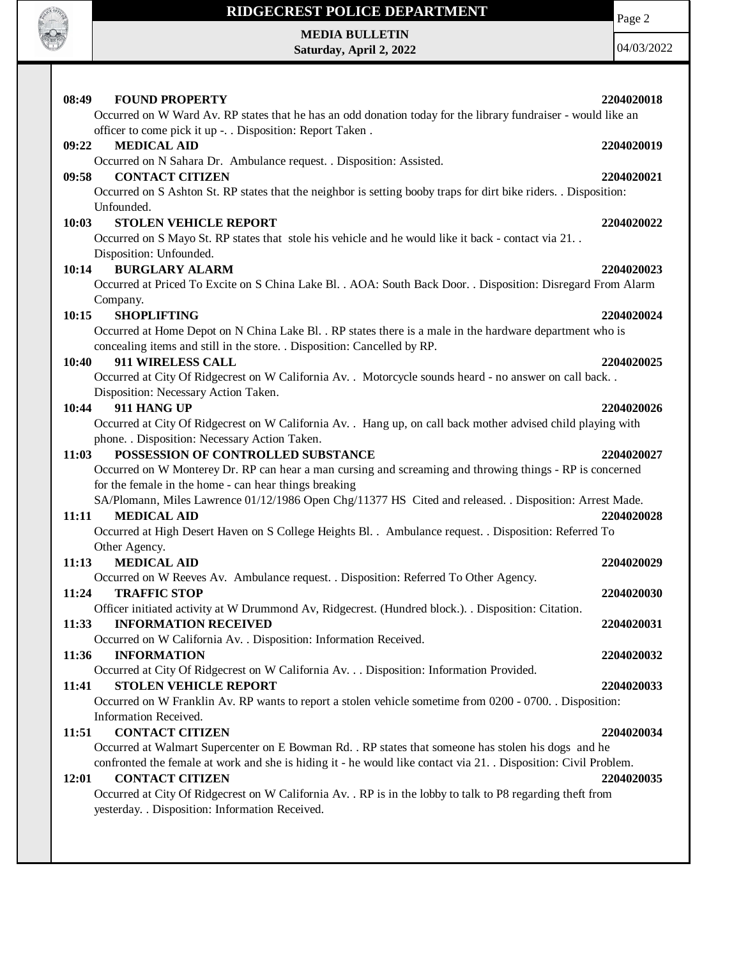

# **RIDGECREST POLICE DEPARTMENT MEDIA BULLETIN**

**Saturday, April 2, 2022**

Page 2

04/03/2022

| 08:49 | <b>FOUND PROPERTY</b>                                                                                                                          | 2204020018 |
|-------|------------------------------------------------------------------------------------------------------------------------------------------------|------------|
|       | Occurred on W Ward Av. RP states that he has an odd donation today for the library fundraiser - would like an                                  |            |
|       | officer to come pick it up -. . Disposition: Report Taken.                                                                                     |            |
| 09:22 | <b>MEDICAL AID</b>                                                                                                                             | 2204020019 |
|       | Occurred on N Sahara Dr. Ambulance request. . Disposition: Assisted.                                                                           |            |
| 09:58 | <b>CONTACT CITIZEN</b>                                                                                                                         | 2204020021 |
|       | Occurred on S Ashton St. RP states that the neighbor is setting booby traps for dirt bike riders. . Disposition:                               |            |
|       | Unfounded.                                                                                                                                     |            |
| 10:03 | <b>STOLEN VEHICLE REPORT</b>                                                                                                                   | 2204020022 |
|       | Occurred on S Mayo St. RP states that stole his vehicle and he would like it back - contact via 21                                             |            |
|       | Disposition: Unfounded.                                                                                                                        |            |
| 10:14 | <b>BURGLARY ALARM</b>                                                                                                                          | 2204020023 |
|       | Occurred at Priced To Excite on S China Lake Bl. . AOA: South Back Door. . Disposition: Disregard From Alarm                                   |            |
|       | Company.                                                                                                                                       |            |
| 10:15 | <b>SHOPLIFTING</b>                                                                                                                             | 2204020024 |
|       | Occurred at Home Depot on N China Lake Bl. . RP states there is a male in the hardware department who is                                       |            |
|       | concealing items and still in the store. . Disposition: Cancelled by RP.                                                                       |            |
| 10:40 | 911 WIRELESS CALL                                                                                                                              | 2204020025 |
|       | Occurred at City Of Ridgecrest on W California Av. . Motorcycle sounds heard - no answer on call back. .                                       |            |
|       | Disposition: Necessary Action Taken.                                                                                                           |            |
| 10:44 | 911 HANG UP                                                                                                                                    | 2204020026 |
|       | Occurred at City Of Ridgecrest on W California Av. . Hang up, on call back mother advised child playing with                                   |            |
|       | phone. . Disposition: Necessary Action Taken.                                                                                                  |            |
| 11:03 | POSSESSION OF CONTROLLED SUBSTANCE<br>Occurred on W Monterey Dr. RP can hear a man cursing and screaming and throwing things - RP is concerned | 2204020027 |
|       | for the female in the home - can hear things breaking                                                                                          |            |
|       | SA/Plomann, Miles Lawrence 01/12/1986 Open Chg/11377 HS Cited and released. . Disposition: Arrest Made.                                        |            |
| 11:11 | <b>MEDICAL AID</b>                                                                                                                             | 2204020028 |
|       | Occurred at High Desert Haven on S College Heights Bl. . Ambulance request. . Disposition: Referred To                                         |            |
|       | Other Agency.                                                                                                                                  |            |
| 11:13 | <b>MEDICAL AID</b>                                                                                                                             | 2204020029 |
|       | Occurred on W Reeves Av. Ambulance request. . Disposition: Referred To Other Agency.                                                           |            |
| 11:24 | <b>TRAFFIC STOP</b>                                                                                                                            | 2204020030 |
|       | Officer initiated activity at W Drummond Av, Ridgecrest. (Hundred block.). . Disposition: Citation.                                            |            |
| 11:33 | <b>INFORMATION RECEIVED</b>                                                                                                                    | 2204020031 |
|       | Occurred on W California Av. . Disposition: Information Received.                                                                              |            |
| 11:36 | <b>INFORMATION</b>                                                                                                                             | 2204020032 |
|       | Occurred at City Of Ridgecrest on W California Av. Disposition: Information Provided.                                                          |            |
| 11:41 | <b>STOLEN VEHICLE REPORT</b>                                                                                                                   | 2204020033 |
|       | Occurred on W Franklin Av. RP wants to report a stolen vehicle sometime from 0200 - 0700. . Disposition:                                       |            |
|       | Information Received.                                                                                                                          |            |
| 11:51 | <b>CONTACT CITIZEN</b>                                                                                                                         | 2204020034 |
|       | Occurred at Walmart Supercenter on E Bowman Rd. . RP states that someone has stolen his dogs and he                                            |            |
|       | confronted the female at work and she is hiding it - he would like contact via 21. Disposition: Civil Problem.                                 |            |
| 12:01 | <b>CONTACT CITIZEN</b>                                                                                                                         | 2204020035 |
|       | Occurred at City Of Ridgecrest on W California Av. . RP is in the lobby to talk to P8 regarding theft from                                     |            |
|       | yesterday. . Disposition: Information Received.                                                                                                |            |
|       |                                                                                                                                                |            |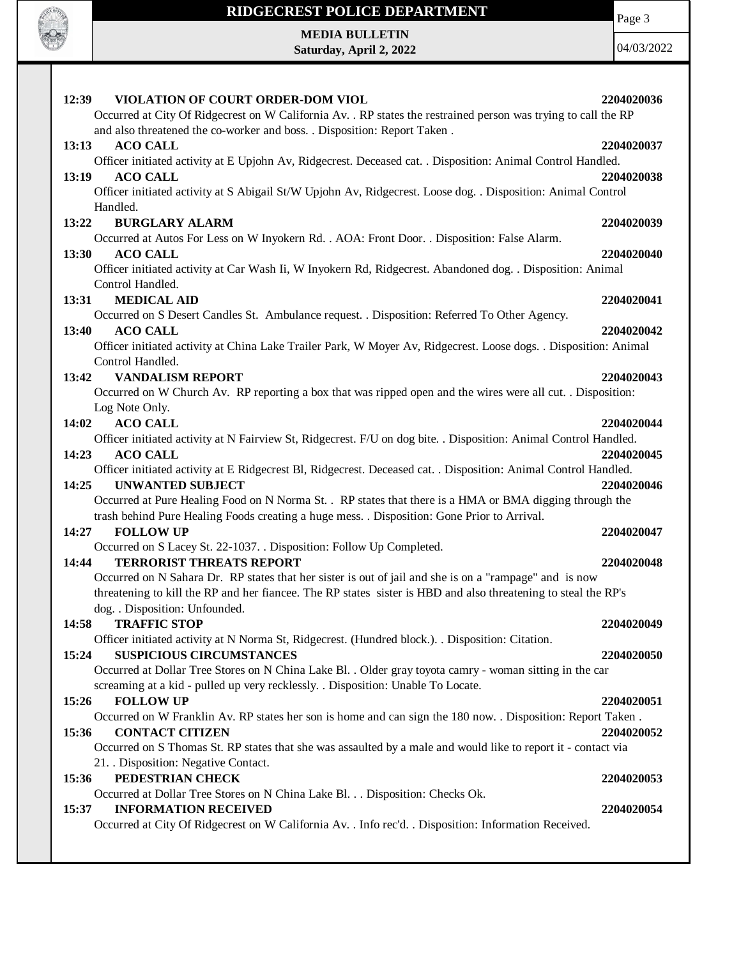

# **RIDGECREST POLICE DEPARTMENT MEDIA BULLETIN**

**Saturday, April 2, 2022**

Page 3

04/03/2022

| VIOLATION OF COURT ORDER-DOM VIOL<br>12:39                                                                                                                                                  | 2204020036 |
|---------------------------------------------------------------------------------------------------------------------------------------------------------------------------------------------|------------|
| Occurred at City Of Ridgecrest on W California Av. . RP states the restrained person was trying to call the RP                                                                              |            |
| and also threatened the co-worker and boss. . Disposition: Report Taken .<br><b>ACO CALL</b><br>13:13                                                                                       | 2204020037 |
| Officer initiated activity at E Upjohn Av, Ridgecrest. Deceased cat. . Disposition: Animal Control Handled.                                                                                 |            |
| <b>ACO CALL</b><br>13:19                                                                                                                                                                    | 2204020038 |
| Officer initiated activity at S Abigail St/W Upjohn Av, Ridgecrest. Loose dog. . Disposition: Animal Control                                                                                |            |
| Handled.                                                                                                                                                                                    |            |
| <b>BURGLARY ALARM</b><br>13:22                                                                                                                                                              | 2204020039 |
| Occurred at Autos For Less on W Inyokern Rd. . AOA: Front Door. . Disposition: False Alarm.                                                                                                 |            |
| <b>ACO CALL</b><br><b>13:30</b>                                                                                                                                                             | 2204020040 |
| Officer initiated activity at Car Wash Ii, W Inyokern Rd, Ridgecrest. Abandoned dog. . Disposition: Animal                                                                                  |            |
| Control Handled.                                                                                                                                                                            |            |
| <b>MEDICAL AID</b><br>13:31                                                                                                                                                                 | 2204020041 |
| Occurred on S Desert Candles St. Ambulance request. . Disposition: Referred To Other Agency.                                                                                                |            |
| 13:40<br><b>ACO CALL</b>                                                                                                                                                                    | 2204020042 |
| Officer initiated activity at China Lake Trailer Park, W Moyer Av, Ridgecrest. Loose dogs. . Disposition: Animal                                                                            |            |
| Control Handled.                                                                                                                                                                            |            |
| <b>VANDALISM REPORT</b><br>13:42                                                                                                                                                            | 2204020043 |
| Occurred on W Church Av. RP reporting a box that was ripped open and the wires were all cut. . Disposition:                                                                                 |            |
| Log Note Only.                                                                                                                                                                              |            |
| <b>ACO CALL</b><br>14:02                                                                                                                                                                    | 2204020044 |
| Officer initiated activity at N Fairview St, Ridgecrest. F/U on dog bite. . Disposition: Animal Control Handled.                                                                            |            |
| <b>ACO CALL</b><br>14:23                                                                                                                                                                    | 2204020045 |
| Officer initiated activity at E Ridgecrest Bl, Ridgecrest. Deceased cat. . Disposition: Animal Control Handled.                                                                             |            |
| <b>UNWANTED SUBJECT</b><br>14:25                                                                                                                                                            | 2204020046 |
| Occurred at Pure Healing Food on N Norma St. . RP states that there is a HMA or BMA digging through the                                                                                     |            |
| trash behind Pure Healing Foods creating a huge mess. . Disposition: Gone Prior to Arrival.                                                                                                 |            |
| 14:27<br><b>FOLLOW UP</b>                                                                                                                                                                   | 2204020047 |
| Occurred on S Lacey St. 22-1037. . Disposition: Follow Up Completed.                                                                                                                        |            |
| <b>TERRORIST THREATS REPORT</b><br>14:44                                                                                                                                                    | 2204020048 |
| Occurred on N Sahara Dr. RP states that her sister is out of jail and she is on a "rampage" and is now                                                                                      |            |
| threatening to kill the RP and her fiancee. The RP states sister is HBD and also threatening to steal the RP's                                                                              |            |
| dog. . Disposition: Unfounded.                                                                                                                                                              |            |
| <b>TRAFFIC STOP</b><br>14:58                                                                                                                                                                | 2204020049 |
| Officer initiated activity at N Norma St, Ridgecrest. (Hundred block.). . Disposition: Citation.                                                                                            |            |
| 15:24<br><b>SUSPICIOUS CIRCUMSTANCES</b>                                                                                                                                                    | 2204020050 |
| Occurred at Dollar Tree Stores on N China Lake Bl. . Older gray toyota camry - woman sitting in the car<br>screaming at a kid - pulled up very recklessly. . Disposition: Unable To Locate. |            |
| 15:26<br><b>FOLLOW UP</b>                                                                                                                                                                   | 2204020051 |
| Occurred on W Franklin Av. RP states her son is home and can sign the 180 now. . Disposition: Report Taken.                                                                                 |            |
| <b>CONTACT CITIZEN</b><br>15:36                                                                                                                                                             | 2204020052 |
| Occurred on S Thomas St. RP states that she was assaulted by a male and would like to report it - contact via                                                                               |            |
| 21. Disposition: Negative Contact.                                                                                                                                                          |            |
| 15:36<br>PEDESTRIAN CHECK                                                                                                                                                                   | 2204020053 |
| Occurred at Dollar Tree Stores on N China Lake Bl. Disposition: Checks Ok.                                                                                                                  |            |
| <b>INFORMATION RECEIVED</b><br>15:37                                                                                                                                                        | 2204020054 |
| Occurred at City Of Ridgecrest on W California Av. . Info rec'd. . Disposition: Information Received.                                                                                       |            |
|                                                                                                                                                                                             |            |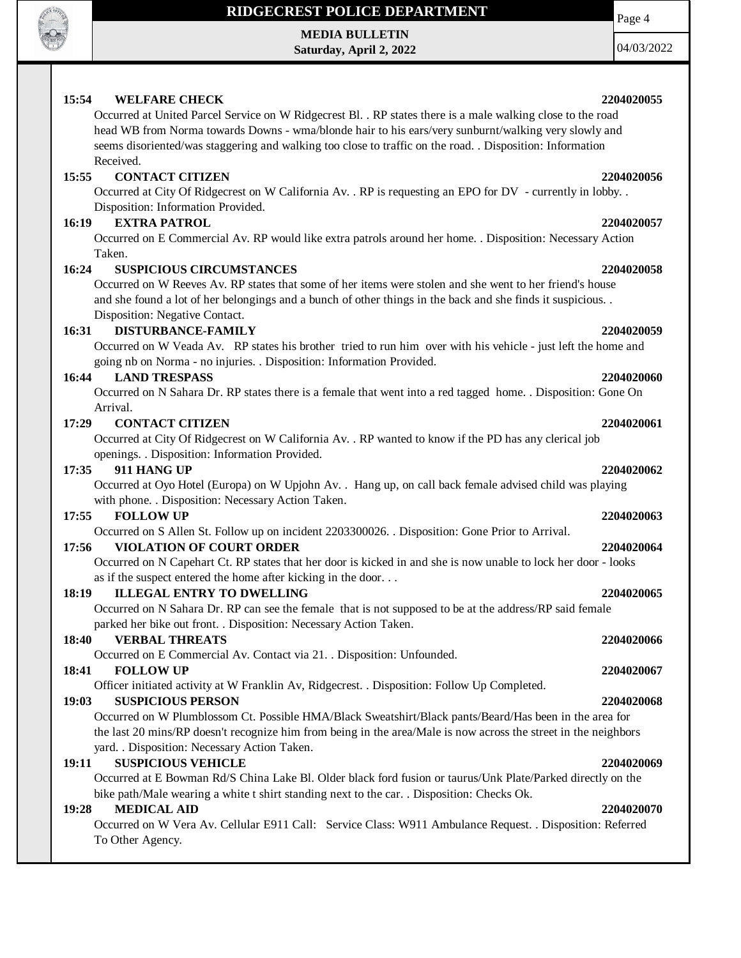

# **RIDGECREST POLICE DEPARTMENT**

**MEDIA BULLETIN Saturday, April 2, 2022** 04/03/2022

Page 4

## **15:54 WELFARE CHECK 2204020055**

Occurred at United Parcel Service on W Ridgecrest Bl. . RP states there is a male walking close to the road head WB from Norma towards Downs - wma/blonde hair to his ears/very sunburnt/walking very slowly and seems disoriented/was staggering and walking too close to traffic on the road. . Disposition: Information Received.

# **15:55 CONTACT CITIZEN 2204020056**

Occurred at City Of Ridgecrest on W California Av. . RP is requesting an EPO for DV - currently in lobby. . Disposition: Information Provided.

## **16:19 EXTRA PATROL 2204020057**

Occurred on E Commercial Av. RP would like extra patrols around her home. . Disposition: Necessary Action Taken.

# **16:24 SUSPICIOUS CIRCUMSTANCES 2204020058**

Occurred on W Reeves Av. RP states that some of her items were stolen and she went to her friend's house and she found a lot of her belongings and a bunch of other things in the back and she finds it suspicious. . Disposition: Negative Contact.

## **16:31 DISTURBANCE-FAMILY 2204020059**

Occurred on W Veada Av. RP states his brother tried to run him over with his vehicle - just left the home and going nb on Norma - no injuries. . Disposition: Information Provided.

### **16:44 LAND TRESPASS 2204020060**

Occurred on N Sahara Dr. RP states there is a female that went into a red tagged home. . Disposition: Gone On Arrival.

### **17:29 CONTACT CITIZEN 2204020061**

Occurred at City Of Ridgecrest on W California Av. . RP wanted to know if the PD has any clerical job openings. . Disposition: Information Provided.

### **17:35 911 HANG UP 2204020062**

Occurred at Oyo Hotel (Europa) on W Upjohn Av. . Hang up, on call back female advised child was playing with phone. . Disposition: Necessary Action Taken.

### **17:55 FOLLOW UP 2204020063**

Occurred on S Allen St. Follow up on incident 2203300026. . Disposition: Gone Prior to Arrival.

### **17:56 VIOLATION OF COURT ORDER 2204020064**

Occurred on N Capehart Ct. RP states that her door is kicked in and she is now unable to lock her door - looks as if the suspect entered the home after kicking in the door. . .

### **18:19 ILLEGAL ENTRY TO DWELLING 2204020065**

Occurred on N Sahara Dr. RP can see the female that is not supposed to be at the address/RP said female parked her bike out front. . Disposition: Necessary Action Taken.

## **18:40 VERBAL THREATS 2204020066**

Occurred on E Commercial Av. Contact via 21. . Disposition: Unfounded.

# **18:41 FOLLOW UP 2204020067**

Officer initiated activity at W Franklin Av, Ridgecrest. . Disposition: Follow Up Completed.

# **19:03 SUSPICIOUS PERSON 2204020068**

Occurred on W Plumblossom Ct. Possible HMA/Black Sweatshirt/Black pants/Beard/Has been in the area for the last 20 mins/RP doesn't recognize him from being in the area/Male is now across the street in the neighbors yard. . Disposition: Necessary Action Taken.

# **19:11 SUSPICIOUS VEHICLE 2204020069**

Occurred at E Bowman Rd/S China Lake Bl. Older black ford fusion or taurus/Unk Plate/Parked directly on the bike path/Male wearing a white t shirt standing next to the car. . Disposition: Checks Ok.

# **19:28 MEDICAL AID 2204020070**

Occurred on W Vera Av. Cellular E911 Call: Service Class: W911 Ambulance Request. . Disposition: Referred To Other Agency.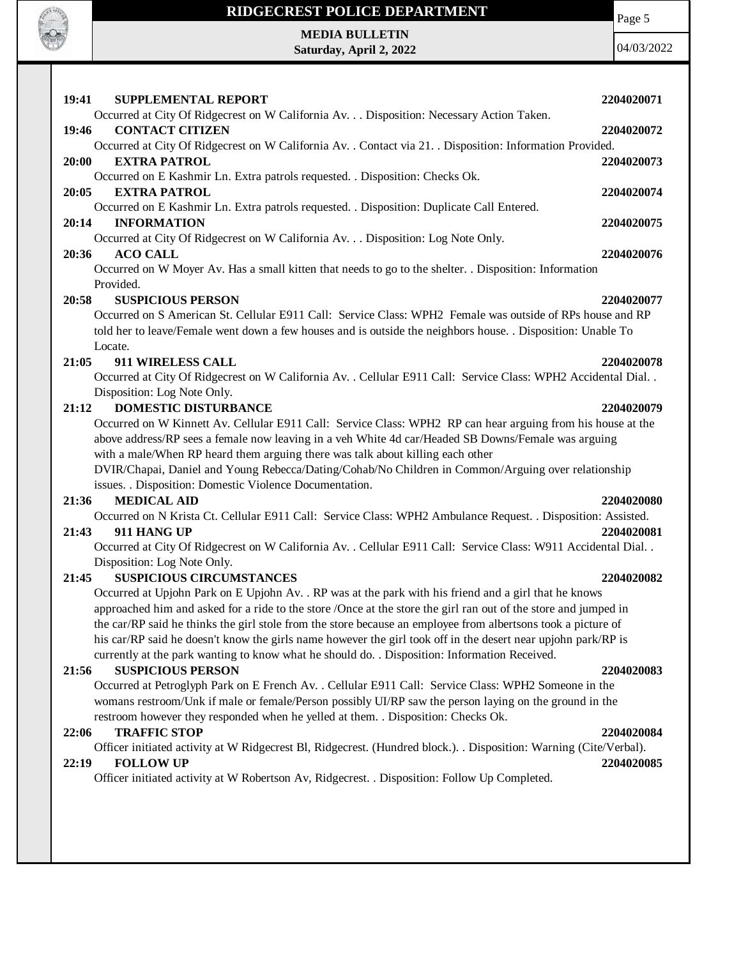